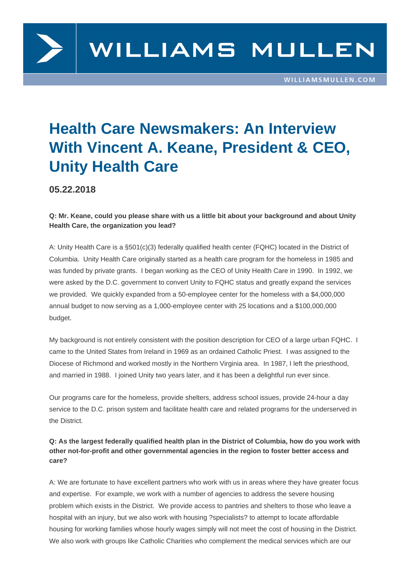

# **Health Care Newsmakers: An Interview With Vincent A. Keane, President & CEO, Unity Health Care**

**05.22.2018**

## **Q: Mr. Keane, could you please share with us a little bit about your background and about Unity Health Care, the organization you lead?**

A: Unity Health Care is a §501(c)(3) federally qualified health center (FQHC) located in the District of Columbia. Unity Health Care originally started as a health care program for the homeless in 1985 and was funded by private grants. I began working as the CEO of Unity Health Care in 1990. In 1992, we were asked by the D.C. government to convert Unity to FQHC status and greatly expand the services we provided. We quickly expanded from a 50-employee center for the homeless with a \$4,000,000 annual budget to now serving as a 1,000-employee center with 25 locations and a \$100,000,000 budget.

My background is not entirely consistent with the position description for CEO of a large urban FQHC. I came to the United States from Ireland in 1969 as an ordained Catholic Priest. I was assigned to the Diocese of Richmond and worked mostly in the Northern Virginia area. In 1987, I left the priesthood, and married in 1988. I joined Unity two years later, and it has been a delightful run ever since.

Our programs care for the homeless, provide shelters, address school issues, provide 24-hour a day service to the D.C. prison system and facilitate health care and related programs for the underserved in the District.

# **Q: As the largest federally qualified health plan in the District of Columbia, how do you work with other not-for-profit and other governmental agencies in the region to foster better access and care?**

A: We are fortunate to have excellent partners who work with us in areas where they have greater focus and expertise. For example, we work with a number of agencies to address the severe housing problem which exists in the District. We provide access to pantries and shelters to those who leave a hospital with an injury, but we also work with housing ?specialists? to attempt to locate affordable housing for working families whose hourly wages simply will not meet the cost of housing in the District. We also work with groups like Catholic Charities who complement the medical services which are our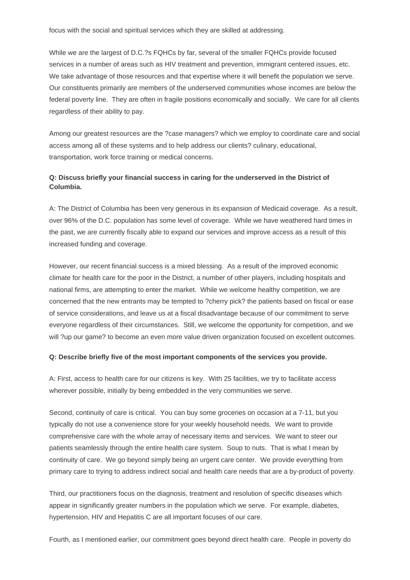While we are the largest of D.C.?s FQHCs by far, several of the smaller FQHCs provide focused services in a number of areas such as HIV treatment and prevention, immigrant centered issues, etc. We take advantage of those resources and that expertise where it will benefit the population we serve. Our constituents primarily are members of the underserved communities whose incomes are below the federal poverty line. They are often in fragile positions economically and socially. We care for all clients regardless of their ability to pay.

Among our greatest resources are the ?case managers? which we employ to coordinate care and social access among all of these systems and to help address our clients? culinary, educational, transportation, work force training or medical concerns.

## **Q: Discuss briefly your financial success in caring for the underserved in the District of Columbia.**

A: The District of Columbia has been very generous in its expansion of Medicaid coverage. As a result, over 96% of the D.C. population has some level of coverage. While we have weathered hard times in the past, we are currently fiscally able to expand our services and improve access as a result of this increased funding and coverage.

However, our recent financial success is a mixed blessing. As a result of the improved economic climate for health care for the poor in the District, a number of other players, including hospitals and national firms, are attempting to enter the market. While we welcome healthy competition, we are concerned that the new entrants may be tempted to ?cherry pick? the patients based on fiscal or ease of service considerations, and leave us at a fiscal disadvantage because of our commitment to serve everyone regardless of their circumstances. Still, we welcome the opportunity for competition, and we will ?up our game? to become an even more value driven organization focused on excellent outcomes.

#### **Q: Describe briefly five of the most important components of the services you provide.**

A: First, access to health care for our citizens is key. With 25 facilities, we try to facilitate access wherever possible, initially by being embedded in the very communities we serve.

Second, continuity of care is critical. You can buy some groceries on occasion at a 7-11, but you typically do not use a convenience store for your weekly household needs. We want to provide comprehensive care with the whole array of necessary items and services. We want to steer our patients seamlessly through the entire health care system. Soup to nuts. That is what I mean by continuity of care. We go beyond simply being an urgent care center. We provide everything from primary care to trying to address indirect social and health care needs that are a by-product of poverty.

Third, our practitioners focus on the diagnosis, treatment and resolution of specific diseases which appear in significantly greater numbers in the population which we serve. For example, diabetes, hypertension, HIV and Hepatitis C are all important focuses of our care.

Fourth, as I mentioned earlier, our commitment goes beyond direct health care. People in poverty do